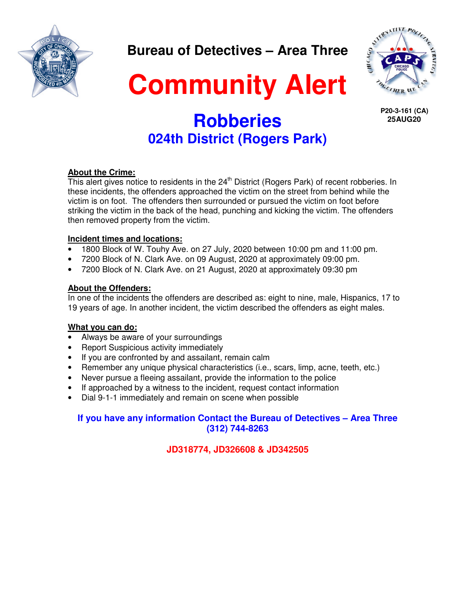

**Bureau of Detectives – Area Three** 



**Community Alert** 

 **P20-3-161 (CA) 25AUG20**

# **Robberies 024th District (Rogers Park)**

### **About the Crime:**

This alert gives notice to residents in the  $24<sup>th</sup>$  District (Rogers Park) of recent robberies. In these incidents, the offenders approached the victim on the street from behind while the victim is on foot. The offenders then surrounded or pursued the victim on foot before striking the victim in the back of the head, punching and kicking the victim. The offenders then removed property from the victim.

### **Incident times and locations:**

- 1800 Block of W. Touhy Ave. on 27 July, 2020 between 10:00 pm and 11:00 pm.
- 7200 Block of N. Clark Ave. on 09 August, 2020 at approximately 09:00 pm.
- 7200 Block of N. Clark Ave. on 21 August, 2020 at approximately 09:30 pm

### **About the Offenders:**

In one of the incidents the offenders are described as: eight to nine, male, Hispanics, 17 to 19 years of age. In another incident, the victim described the offenders as eight males.

### **What you can do:**

- Always be aware of your surroundings
- Report Suspicious activity immediately
- If you are confronted by and assailant, remain calm
- Remember any unique physical characteristics (i.e., scars, limp, acne, teeth, etc.)
- Never pursue a fleeing assailant, provide the information to the police
- If approached by a witness to the incident, request contact information
- Dial 9-1-1 immediately and remain on scene when possible

## **If you have any information Contact the Bureau of Detectives – Area Three (312) 744-8263**

**JD318774, JD326608 & JD342505**